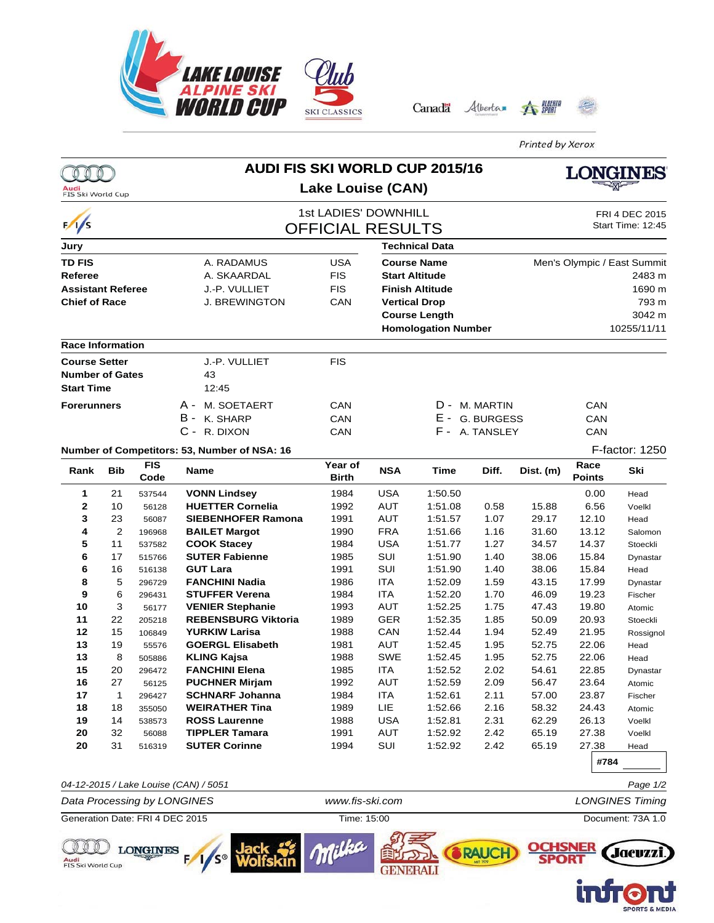





Printed by Xerox

|                                                                |            |                    |                                                       | <b>AUDI FIS SKI WORLD CUP 2015/16</b>           |                          |                            |                 |                                             | ONGINES               |                    |  |
|----------------------------------------------------------------|------------|--------------------|-------------------------------------------------------|-------------------------------------------------|--------------------------|----------------------------|-----------------|---------------------------------------------|-----------------------|--------------------|--|
| Audi<br><b>FIS Ski World Cup</b>                               |            |                    |                                                       | Lake Louise (CAN)                               |                          |                            |                 |                                             |                       |                    |  |
| $\frac{1}{s}$                                                  |            |                    |                                                       | 1st LADIES' DOWNHILL<br><b>OFFICIAL RESULTS</b> |                          |                            |                 | FRI 4 DEC 2015<br>Start Time: 12:45         |                       |                    |  |
| Jury                                                           |            |                    |                                                       | <b>Technical Data</b>                           |                          |                            |                 |                                             |                       |                    |  |
| <b>TD FIS</b>                                                  |            |                    | A. RADAMUS                                            | <b>USA</b>                                      | <b>Course Name</b>       |                            |                 | Men's Olympic / East Summit                 |                       |                    |  |
| Referee                                                        |            |                    | A. SKAARDAL                                           | <b>FIS</b>                                      |                          | <b>Start Altitude</b>      |                 |                                             |                       | 2483 m             |  |
| <b>Assistant Referee</b>                                       |            |                    | J.-P. VULLIET                                         | <b>FIS</b>                                      | <b>Finish Altitude</b>   |                            |                 |                                             |                       | 1690 m             |  |
| <b>Chief of Race</b>                                           |            |                    | <b>J. BREWINGTON</b>                                  | CAN                                             | <b>Vertical Drop</b>     |                            | 793 m<br>3042 m |                                             |                       |                    |  |
|                                                                |            |                    |                                                       |                                                 | <b>Course Length</b>     |                            |                 |                                             |                       |                    |  |
|                                                                |            |                    |                                                       |                                                 |                          | <b>Homologation Number</b> |                 |                                             |                       | 10255/11/11        |  |
| <b>Race Information</b>                                        |            |                    |                                                       |                                                 |                          |                            |                 |                                             |                       |                    |  |
| <b>Course Setter</b>                                           |            |                    | J.-P. VULLIET                                         | <b>FIS</b>                                      |                          |                            |                 |                                             |                       |                    |  |
| <b>Number of Gates</b>                                         |            |                    | 43                                                    |                                                 |                          |                            |                 |                                             |                       |                    |  |
| <b>Start Time</b>                                              |            |                    | 12:45                                                 |                                                 |                          |                            |                 |                                             |                       |                    |  |
| <b>Forerunners</b>                                             |            |                    | A -<br>M. SOETAERT                                    | CAN                                             |                          |                            | D - M. MARTIN   |                                             | CAN                   |                    |  |
|                                                                |            |                    | B - K. SHARP                                          | CAN                                             |                          | E - G. BURGESS             |                 |                                             | CAN                   |                    |  |
|                                                                |            |                    | C - R. DIXON                                          | CAN                                             |                          |                            | F - A. TANSLEY  |                                             | CAN                   |                    |  |
|                                                                |            |                    | Number of Competitors: 53, Number of NSA: 16          |                                                 |                          |                            |                 |                                             |                       | F-factor: 1250     |  |
| Rank                                                           | <b>Bib</b> | <b>FIS</b><br>Code | Name                                                  | Year of<br>Birth                                | <b>NSA</b>               | Time                       | Diff.           | Dist. (m)                                   | Race<br><b>Points</b> | Ski                |  |
| 1                                                              | 21         | 537544             | <b>VONN Lindsey</b>                                   | 1984                                            | <b>USA</b>               | 1:50.50                    |                 |                                             | 0.00                  | Head               |  |
| 2                                                              | 10         | 56128              | <b>HUETTER Cornelia</b>                               | 1992                                            | <b>AUT</b>               | 1:51.08                    | 0.58            | 15.88                                       | 6.56                  | Voelkl             |  |
| 3                                                              | 23         | 56087              | <b>SIEBENHOFER Ramona</b>                             | 1991                                            | <b>AUT</b>               | 1:51.57                    | 1.07            | 29.17                                       | 12.10                 | Head               |  |
| 4                                                              | 2          | 196968             | <b>BAILET Margot</b>                                  | 1990                                            | <b>FRA</b>               | 1:51.66                    | 1.16            | 31.60                                       | 13.12                 | Salomon            |  |
| 5                                                              | 11         | 537582             | <b>COOK Stacey</b>                                    | 1984                                            | <b>USA</b>               | 1:51.77                    | 1.27            | 34.57                                       | 14.37                 | Stoeckli           |  |
| 6                                                              | 17         | 515766             | <b>SUTER Fabienne</b>                                 | 1985                                            | SUI                      | 1:51.90                    | 1.40            | 38.06                                       | 15.84                 | Dynastar           |  |
| 6                                                              | 16         | 516138             | <b>GUT Lara</b>                                       | 1991                                            | SUI                      | 1:51.90                    | 1.40            | 38.06                                       | 15.84                 | Head               |  |
| 8                                                              | 5          | 296729             | <b>FANCHINI Nadia</b>                                 | 1986                                            | <b>ITA</b>               | 1:52.09                    | 1.59            | 43.15                                       | 17.99                 | Dynastar           |  |
| 9<br>10                                                        | 6<br>3     | 296431             | <b>STUFFER Verena</b>                                 | 1984<br>1993                                    | <b>ITA</b><br><b>AUT</b> | 1:52.20<br>1:52.25         | 1.70<br>1.75    | 46.09<br>47.43                              | 19.23<br>19.80        | Fischer            |  |
| 11                                                             | 22         | 56177<br>205218    | <b>VENIER Stephanie</b><br><b>REBENSBURG Viktoria</b> | 1989                                            | <b>GER</b>               | 1:52.35                    | 1.85            | 50.09                                       | 20.93                 | Atomic<br>Stoeckli |  |
| 12                                                             | 15         | 106849             | <b>YURKIW Larisa</b>                                  | 1988                                            | CAN                      | 1:52.44                    | 1.94            | 52.49                                       | 21.95                 | Rossignol          |  |
| 13                                                             | 19         | 55576              | <b>GOERGL Elisabeth</b>                               | 1981                                            | <b>AUT</b>               | 1:52.45                    | 1.95            | 52.75                                       | 22.06                 | Head               |  |
| 13                                                             | 8          | 505886             | <b>KLING Kajsa</b>                                    | 1988                                            | SWE                      | 1:52.45                    | 1.95            | 52.75                                       | 22.06                 | Head               |  |
| 15                                                             | 20         | 296472             | <b>FANCHINI Elena</b>                                 | 1985                                            | <b>ITA</b>               | 1:52.52                    | 2.02            | 54.61                                       | 22.85                 | Dynastar           |  |
| 16                                                             | 27         | 56125              | <b>PUCHNER Mirjam</b>                                 | 1992                                            | AUT                      | 1:52.59                    | 2.09            | 56.47                                       | 23.64                 | Atomic             |  |
| 17                                                             | 1          | 296427             | <b>SCHNARF Johanna</b>                                | 1984                                            | ITA                      | 1:52.61                    | 2.11            | 57.00                                       | 23.87                 | Fischer            |  |
| 18                                                             | 18         | 355050             | <b>WEIRATHER Tina</b>                                 | 1989                                            | LIE                      | 1:52.66                    | 2.16            | 58.32                                       | 24.43                 | Atomic             |  |
| 19                                                             | 14         | 538573             | <b>ROSS Laurenne</b>                                  | 1988                                            | <b>USA</b>               | 1:52.81                    | 2.31            | 62.29                                       | 26.13                 | Voelkl             |  |
| 20                                                             | 32         | 56088              | <b>TIPPLER Tamara</b>                                 | 1991                                            | <b>AUT</b>               | 1:52.92                    | 2.42            | 65.19                                       | 27.38                 | Voelkl             |  |
| 20                                                             | 31         | 516319             | <b>SUTER Corinne</b>                                  | 1994                                            | SUI                      | 1:52.92                    | 2.42            | 65.19                                       | 27.38                 | Head               |  |
|                                                                |            |                    |                                                       |                                                 |                          |                            |                 |                                             | #784                  |                    |  |
|                                                                |            |                    | 04-12-2015 / Lake Louise (CAN) / 5051                 |                                                 |                          |                            |                 |                                             |                       | Page 1/2           |  |
| Data Processing by LONGINES<br>Generation Date: FRI 4 DEC 2015 |            |                    |                                                       | www.fis-ski.com<br>Time: 15:00                  |                          |                            |                 | <b>LONGINES Timing</b><br>Document: 73A 1.0 |                       |                    |  |
| FIS Ski World Cup                                              |            | <b>LONGINES</b>    |                                                       |                                                 | GENERALI                 |                            | RAUCH           |                                             |                       | Jacuzzi.           |  |